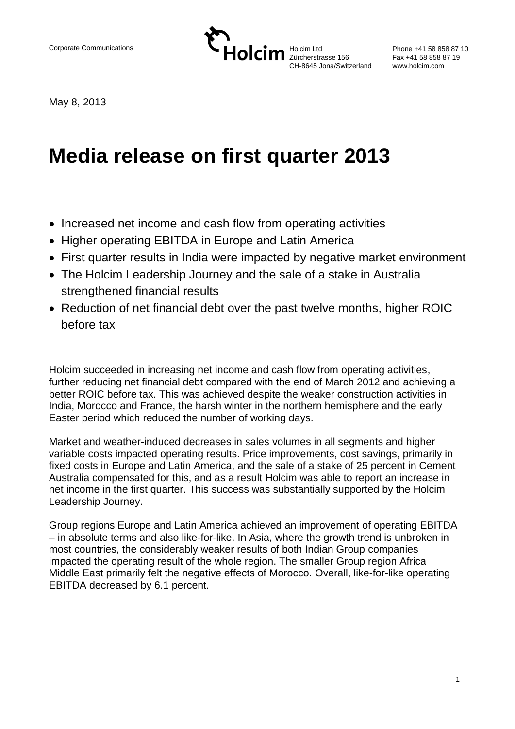

Phone +41 58 858 87 10 Fax +41 58 858 87 19 www.holcim.com

May 8, 2013

# **Media release on first quarter 2013**

- Increased net income and cash flow from operating activities
- Higher operating EBITDA in Europe and Latin America
- First quarter results in India were impacted by negative market environment
- The Holcim Leadership Journey and the sale of a stake in Australia strengthened financial results
- Reduction of net financial debt over the past twelve months, higher ROIC before tax

Holcim succeeded in increasing net income and cash flow from operating activities, further reducing net financial debt compared with the end of March 2012 and achieving a better ROIC before tax. This was achieved despite the weaker construction activities in India, Morocco and France, the harsh winter in the northern hemisphere and the early Easter period which reduced the number of working days.

Market and weather-induced decreases in sales volumes in all segments and higher variable costs impacted operating results. Price improvements, cost savings, primarily in fixed costs in Europe and Latin America, and the sale of a stake of 25 percent in Cement Australia compensated for this, and as a result Holcim was able to report an increase in net income in the first quarter. This success was substantially supported by the Holcim Leadership Journey.

Group regions Europe and Latin America achieved an improvement of operating EBITDA – in absolute terms and also like-for-like. In Asia, where the growth trend is unbroken in most countries, the considerably weaker results of both Indian Group companies impacted the operating result of the whole region. The smaller Group region Africa Middle East primarily felt the negative effects of Morocco. Overall, like-for-like operating EBITDA decreased by 6.1 percent.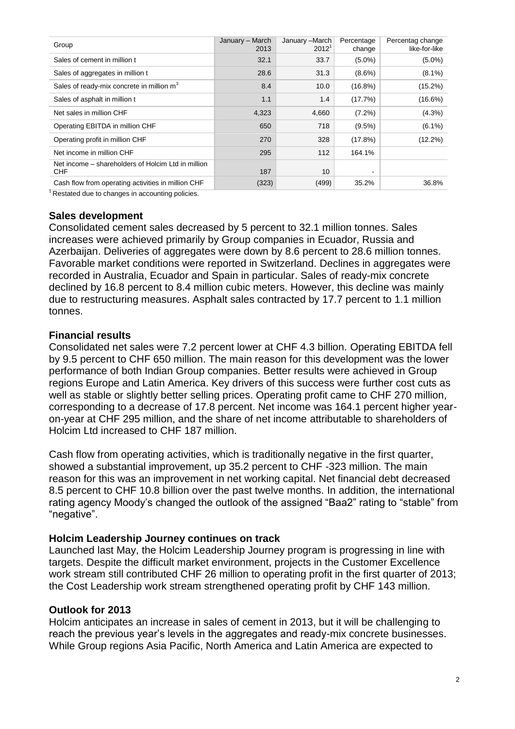| Group                                                            | January - March<br>2013 | January -March<br>$2012^1$ | Percentage<br>change | Percentag change<br>like-for-like |
|------------------------------------------------------------------|-------------------------|----------------------------|----------------------|-----------------------------------|
| Sales of cement in million t                                     | 32.1                    | 33.7                       | $(5.0\%)$            | $(5.0\%)$                         |
| Sales of aggregates in million t                                 | 28.6                    | 31.3                       | $(8.6\%)$            | $(8.1\%)$                         |
| Sales of ready-mix concrete in million m <sup>3</sup>            | 8.4                     | 10.0                       | $(16.8\%)$           | (15.2%)                           |
| Sales of asphalt in million t                                    | 1.1                     | 1.4                        | (17.7%)              | $(16.6\%)$                        |
| Net sales in million CHF                                         | 4,323                   | 4,660                      | $(7.2\%)$            | $(4.3\%)$                         |
| Operating EBITDA in million CHF                                  | 650                     | 718                        | $(9.5\%)$            | $(6.1\%)$                         |
| Operating profit in million CHF                                  | 270                     | 328                        | (17.8%)              | $(12.2\%)$                        |
| Net income in million CHF                                        | 295                     | 112                        | 164.1%               |                                   |
| Net income – shareholders of Holcim Ltd in million<br><b>CHF</b> | 187                     | 10 <sup>1</sup>            |                      |                                   |
| Cash flow from operating activities in million CHF               | (323)                   | (499)                      | 35.2%                | 36.8%                             |

 $1$ Restated due to changes in accounting policies.

#### **Sales development**

Consolidated cement sales decreased by 5 percent to 32.1 million tonnes. Sales increases were achieved primarily by Group companies in Ecuador, Russia and Azerbaijan. Deliveries of aggregates were down by 8.6 percent to 28.6 million tonnes. Favorable market conditions were reported in Switzerland. Declines in aggregates were recorded in Australia, Ecuador and Spain in particular. Sales of ready-mix concrete declined by 16.8 percent to 8.4 million cubic meters. However, this decline was mainly due to restructuring measures. Asphalt sales contracted by 17.7 percent to 1.1 million tonnes.

#### **Financial results**

Consolidated net sales were 7.2 percent lower at CHF 4.3 billion. Operating EBITDA fell by 9.5 percent to CHF 650 million. The main reason for this development was the lower performance of both Indian Group companies. Better results were achieved in Group regions Europe and Latin America. Key drivers of this success were further cost cuts as well as stable or slightly better selling prices. Operating profit came to CHF 270 million, corresponding to a decrease of 17.8 percent. Net income was 164.1 percent higher yearon-year at CHF 295 million, and the share of net income attributable to shareholders of Holcim Ltd increased to CHF 187 million.

Cash flow from operating activities, which is traditionally negative in the first quarter, showed a substantial improvement, up 35.2 percent to CHF -323 million. The main reason for this was an improvement in net working capital. Net financial debt decreased 8.5 percent to CHF 10.8 billion over the past twelve months. In addition, the international rating agency Moody's changed the outlook of the assigned "Baa2" rating to "stable" from "negative".

### **Holcim Leadership Journey continues on track**

Launched last May, the Holcim Leadership Journey program is progressing in line with targets. Despite the difficult market environment, projects in the Customer Excellence work stream still contributed CHF 26 million to operating profit in the first quarter of 2013; the Cost Leadership work stream strengthened operating profit by CHF 143 million.

#### **Outlook for 2013**

Holcim anticipates an increase in sales of cement in 2013, but it will be challenging to reach the previous year's levels in the aggregates and ready-mix concrete businesses. While Group regions Asia Pacific, North America and Latin America are expected to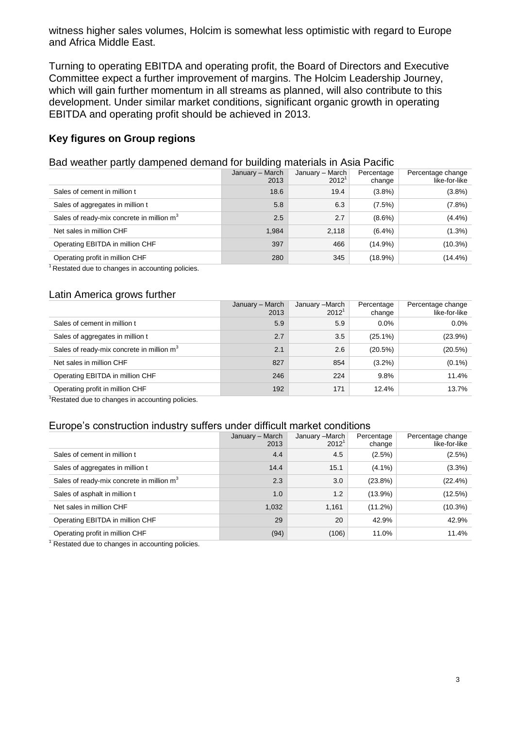witness higher sales volumes, Holcim is somewhat less optimistic with regard to Europe and Africa Middle East.

Turning to operating EBITDA and operating profit, the Board of Directors and Executive Committee expect a further improvement of margins. The Holcim Leadership Journey, which will gain further momentum in all streams as planned, will also contribute to this development. Under similar market conditions, significant organic growth in operating EBITDA and operating profit should be achieved in 2013.

# **Key figures on Group regions**

#### Bad weather partly dampened demand for building materials in Asia Pacific

|                                                       | January - March<br>2013 | January - March<br>$2012^1$ | Percentage<br>change | Percentage change<br>like-for-like |
|-------------------------------------------------------|-------------------------|-----------------------------|----------------------|------------------------------------|
| Sales of cement in million t                          | 18.6                    | 19.4                        | (3.8%)               | $(3.8\%)$                          |
| Sales of aggregates in million t                      | 5.8                     | 6.3                         | (7.5%)               | $(7.8\%)$                          |
| Sales of ready-mix concrete in million m <sup>3</sup> | 2.5                     | 2.7                         | $(8.6\%)$            | (4.4%)                             |
| Net sales in million CHF                              | 1,984                   | 2,118                       | $(6.4\%)$            | $(1.3\%)$                          |
| Operating EBITDA in million CHF                       | 397                     | 466                         | $(14.9\%)$           | $(10.3\%)$                         |
| Operating profit in million CHF                       | 280                     | 345                         | $(18.9\%)$           | $(14.4\%)$                         |
|                                                       |                         |                             |                      |                                    |

<sup>1</sup> Restated due to changes in accounting policies.

### Latin America grows further

|                                                       | January - March<br>2013 | January -March<br>$2012^1$ | Percentage<br>change | Percentage change<br>like-for-like |
|-------------------------------------------------------|-------------------------|----------------------------|----------------------|------------------------------------|
| Sales of cement in million t                          | 5.9                     | 5.9                        | $0.0\%$              | $0.0\%$                            |
| Sales of aggregates in million t                      | 2.7                     | 3.5                        | $(25.1\%)$           | (23.9%)                            |
| Sales of ready-mix concrete in million m <sup>3</sup> | 2.1                     | 2.6                        | (20.5%)              | (20.5%)                            |
| Net sales in million CHF                              | 827                     | 854                        | $(3.2\%)$            | $(0.1\%)$                          |
| Operating EBITDA in million CHF                       | 246                     | 224                        | 9.8%                 | 11.4%                              |
| Operating profit in million CHF                       | 192                     | 171                        | 12.4%                | 13.7%                              |

<sup>1</sup>Restated due to changes in accounting policies.

#### Europe's construction industry suffers under difficult market conditions

|                                                       | January - March<br>2013 | January - March<br>2012 <sup>1</sup> | Percentage<br>change | Percentage change<br>like-for-like |
|-------------------------------------------------------|-------------------------|--------------------------------------|----------------------|------------------------------------|
| Sales of cement in million t                          | 4.4                     | 4.5                                  | $(2.5\%)$            | (2.5%)                             |
| Sales of aggregates in million t                      | 14.4                    | 15.1                                 | $(4.1\%)$            | (3.3%)                             |
| Sales of ready-mix concrete in million m <sup>3</sup> | 2.3                     | 3.0                                  | $(23.8\%)$           | (22.4%)                            |
| Sales of asphalt in million t                         | 1.0                     | 1.2                                  | $(13.9\%)$           | (12.5%)                            |
| Net sales in million CHF                              | 1,032                   | 1.161                                | $(11.2\%)$           | $(10.3\%)$                         |
| Operating EBITDA in million CHF                       | 29                      | 20                                   | 42.9%                | 42.9%                              |
| Operating profit in million CHF                       | (94)                    | (106)                                | 11.0%                | 11.4%                              |

 $1$  Restated due to changes in accounting policies.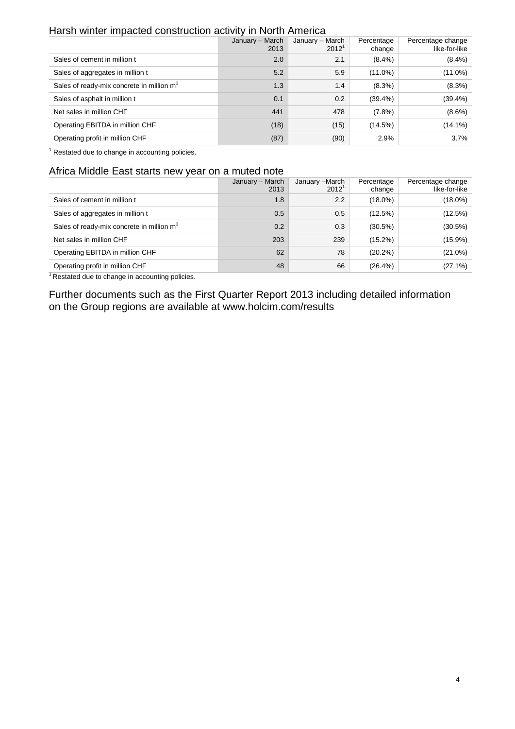## Harsh winter impacted construction activity in North America

|                                                       | January - March<br>2013 | January - March<br>$2012^1$ | Percentage<br>change | Percentage change<br>like-for-like |  |
|-------------------------------------------------------|-------------------------|-----------------------------|----------------------|------------------------------------|--|
| Sales of cement in million t                          | 2.0                     | 2.1                         | $(8.4\%)$            | $(8.4\%)$                          |  |
| Sales of aggregates in million t                      | 5.2                     | 5.9                         | $(11.0\%)$           | $(11.0\%)$                         |  |
| Sales of ready-mix concrete in million m <sup>3</sup> | 1.3                     | 1.4                         | $(8.3\%)$            | $(8.3\%)$                          |  |
| Sales of asphalt in million t                         | 0.1                     | 0.2                         | $(39.4\%)$           | $(39.4\%)$                         |  |
| Net sales in million CHF                              | 441                     | 478                         | $(7.8\%)$            | $(8.6\%)$                          |  |
| Operating EBITDA in million CHF                       | (18)                    | (15)                        | (14.5%)              | $(14.1\%)$                         |  |
| Operating profit in million CHF                       | (87)                    | (90)                        | 2.9%                 | 3.7%                               |  |

 $1$  Restated due to change in accounting policies.

#### Africa Middle East starts new year on a muted note

|                                                       | January - March<br>2013 | January -March<br>$2012^1$ | Percentage<br>change | Percentage change<br>like-for-like |
|-------------------------------------------------------|-------------------------|----------------------------|----------------------|------------------------------------|
| Sales of cement in million t                          | 1.8                     | $2.2^{\circ}$              | $(18.0\%)$           | $(18.0\%)$                         |
| Sales of aggregates in million t                      | 0.5                     | 0.5                        | (12.5%)              | (12.5%)                            |
| Sales of ready-mix concrete in million m <sup>3</sup> | 0.2                     | 0.3                        | $(30.5\%)$           | $(30.5\%)$                         |
| Net sales in million CHF                              | 203                     | 239                        | $(15.2\%)$           | $(15.9\%)$                         |
| Operating EBITDA in million CHF                       | 62                      | 78                         | $(20.2\%)$           | $(21.0\%)$                         |
| Operating profit in million CHF                       | 48                      | 66                         | $(26.4\%)$           | $(27.1\%)$                         |

<sup>1</sup>Restated due to change in accounting policies.

Further documents such as the First Quarter Report 2013 including detailed information on the Group regions are available at www.holcim.com/results